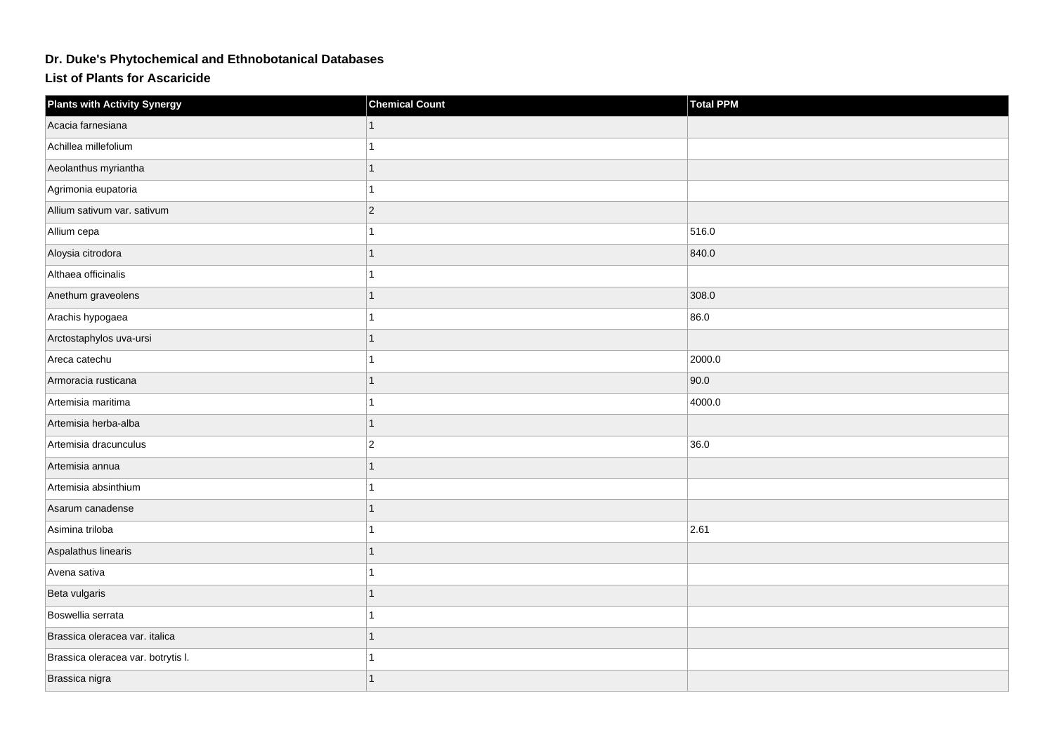## **Dr. Duke's Phytochemical and Ethnobotanical Databases**

**List of Plants for Ascaricide**

| <b>Plants with Activity Synergy</b> | <b>Chemical Count</b> | <b>Total PPM</b> |
|-------------------------------------|-----------------------|------------------|
| Acacia farnesiana                   |                       |                  |
| Achillea millefolium                |                       |                  |
| Aeolanthus myriantha                |                       |                  |
| Agrimonia eupatoria                 |                       |                  |
| Allium sativum var. sativum         | $ 2\rangle$           |                  |
| Allium cepa                         |                       | 516.0            |
| Aloysia citrodora                   |                       | 840.0            |
| Althaea officinalis                 |                       |                  |
| Anethum graveolens                  |                       | 308.0            |
| Arachis hypogaea                    |                       | 86.0             |
| Arctostaphylos uva-ursi             |                       |                  |
| Areca catechu                       |                       | 2000.0           |
| Armoracia rusticana                 |                       | 90.0             |
| Artemisia maritima                  |                       | 4000.0           |
| Artemisia herba-alba                |                       |                  |
| Artemisia dracunculus               | $ 2\rangle$           | 36.0             |
| Artemisia annua                     |                       |                  |
| Artemisia absinthium                |                       |                  |
| Asarum canadense                    |                       |                  |
| Asimina triloba                     |                       | 2.61             |
| Aspalathus linearis                 |                       |                  |
| Avena sativa                        |                       |                  |
| Beta vulgaris                       |                       |                  |
| Boswellia serrata                   |                       |                  |
| Brassica oleracea var. italica      |                       |                  |
| Brassica oleracea var. botrytis I.  |                       |                  |
| Brassica nigra                      |                       |                  |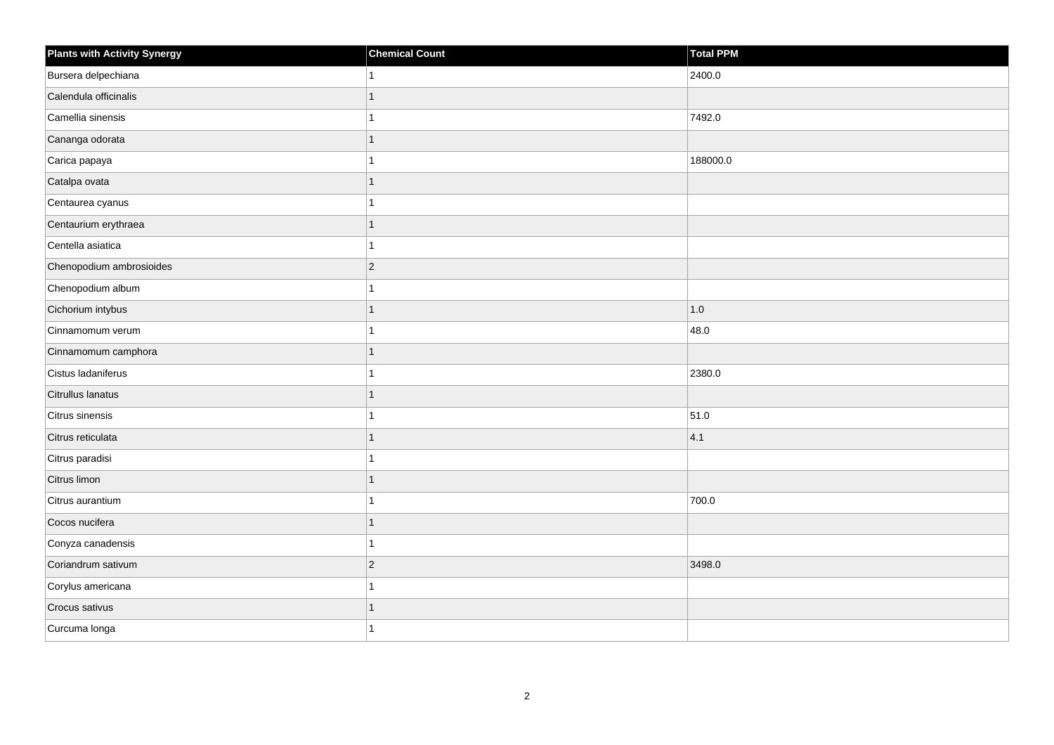| <b>Plants with Activity Synergy</b> | <b>Chemical Count</b>    | Total PPM |
|-------------------------------------|--------------------------|-----------|
| Bursera delpechiana                 |                          | 2400.0    |
| Calendula officinalis               | $\overline{\phantom{a}}$ |           |
| Camellia sinensis                   |                          | 7492.0    |
| Cananga odorata                     | 1                        |           |
| Carica papaya                       |                          | 188000.0  |
| Catalpa ovata                       | 1                        |           |
| Centaurea cyanus                    |                          |           |
| Centaurium erythraea                | 1                        |           |
| Centella asiatica                   | 1                        |           |
| Chenopodium ambrosioides            | $\overline{2}$           |           |
| Chenopodium album                   |                          |           |
| Cichorium intybus                   | 1                        | 1.0       |
| Cinnamomum verum                    |                          | 48.0      |
| Cinnamomum camphora                 | 1                        |           |
| Cistus ladaniferus                  |                          | 2380.0    |
| Citrullus lanatus                   | 1                        |           |
| Citrus sinensis                     |                          | 51.0      |
| Citrus reticulata                   |                          | 4.1       |
| Citrus paradisi                     | 4                        |           |
| Citrus limon                        | 1                        |           |
| Citrus aurantium                    |                          | 700.0     |
| Cocos nucifera                      | $\overline{1}$           |           |
| Conyza canadensis                   |                          |           |
| Coriandrum sativum                  | $\overline{2}$           | 3498.0    |
| Corylus americana                   | 1                        |           |
| Crocus sativus                      | 1                        |           |
| Curcuma longa                       |                          |           |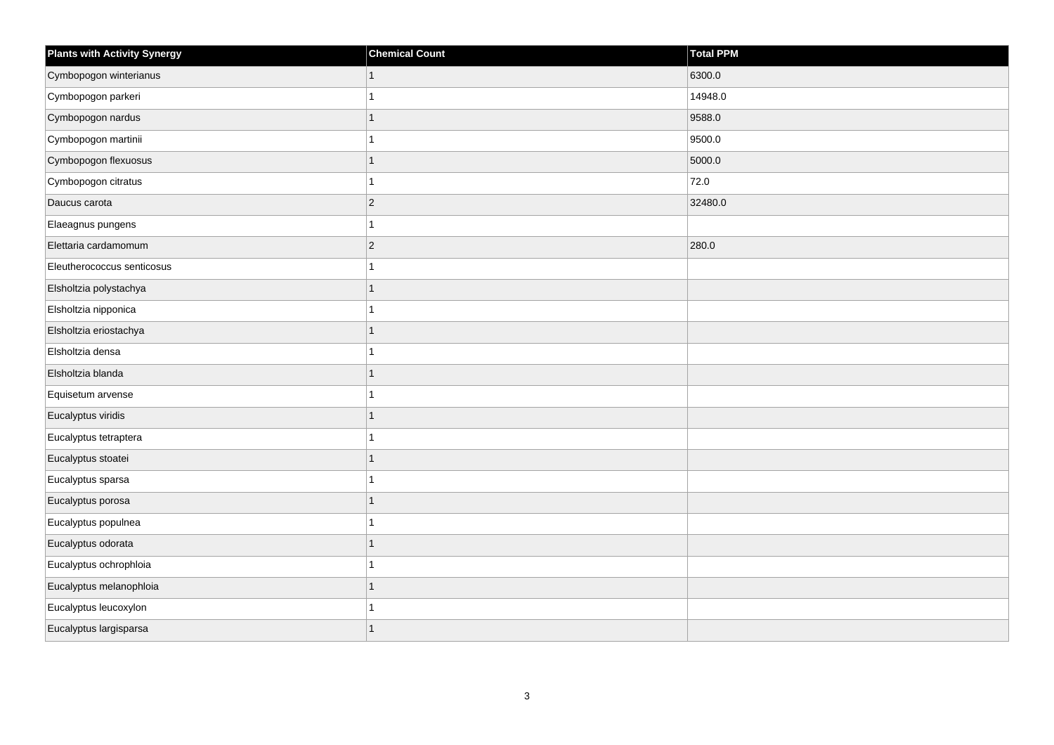| <b>Plants with Activity Synergy</b> | <b>Chemical Count</b> | Total PPM |
|-------------------------------------|-----------------------|-----------|
| Cymbopogon winterianus              | $\mathbf{1}$          | 6300.0    |
| Cymbopogon parkeri                  |                       | 14948.0   |
| Cymbopogon nardus                   | $\overline{1}$        | 9588.0    |
| Cymbopogon martinii                 | 1                     | 9500.0    |
| Cymbopogon flexuosus                | $\overline{1}$        | 5000.0    |
| Cymbopogon citratus                 | 1                     | 72.0      |
| Daucus carota                       | $\overline{c}$        | 32480.0   |
| Elaeagnus pungens                   | 1                     |           |
| Elettaria cardamomum                | $\overline{c}$        | 280.0     |
| Eleutherococcus senticosus          | 1                     |           |
| Elsholtzia polystachya              | $\overline{1}$        |           |
| Elsholtzia nipponica                | 1                     |           |
| Elsholtzia eriostachya              | $\overline{1}$        |           |
| Elsholtzia densa                    | 1                     |           |
| Elsholtzia blanda                   | $\overline{1}$        |           |
| Equisetum arvense                   | 1                     |           |
| Eucalyptus viridis                  | 1                     |           |
| Eucalyptus tetraptera               |                       |           |
| Eucalyptus stoatei                  | $\overline{1}$        |           |
| Eucalyptus sparsa                   |                       |           |
| Eucalyptus porosa                   | 1                     |           |
| Eucalyptus populnea                 | 1                     |           |
| Eucalyptus odorata                  | 1                     |           |
| Eucalyptus ochrophloia              |                       |           |
| Eucalyptus melanophloia             | $\overline{1}$        |           |
| Eucalyptus leucoxylon               |                       |           |
| Eucalyptus largisparsa              | $\overline{1}$        |           |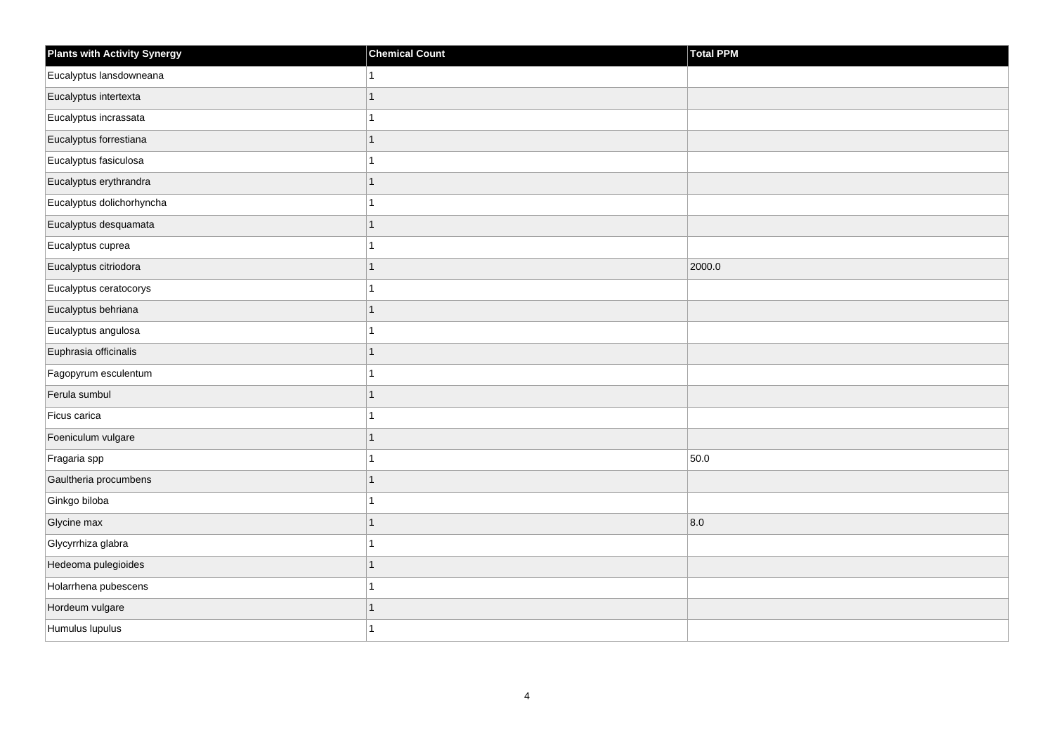| <b>Plants with Activity Synergy</b> | <b>Chemical Count</b> | Total PPM |
|-------------------------------------|-----------------------|-----------|
| Eucalyptus lansdowneana             | 1                     |           |
| Eucalyptus intertexta               | $\overline{1}$        |           |
| Eucalyptus incrassata               | 1                     |           |
| Eucalyptus forrestiana              | $\overline{1}$        |           |
| Eucalyptus fasiculosa               | 1                     |           |
| Eucalyptus erythrandra              | 1                     |           |
| Eucalyptus dolichorhyncha           | 1                     |           |
| Eucalyptus desquamata               | $\overline{1}$        |           |
| Eucalyptus cuprea                   | 1                     |           |
| Eucalyptus citriodora               | $\overline{1}$        | 2000.0    |
| Eucalyptus ceratocorys              | 1                     |           |
| Eucalyptus behriana                 | 1                     |           |
| Eucalyptus angulosa                 | 1                     |           |
| Euphrasia officinalis               | $\overline{1}$        |           |
| Fagopyrum esculentum                | 1                     |           |
| Ferula sumbul                       | $\overline{1}$        |           |
| Ficus carica                        | 1                     |           |
| Foeniculum vulgare                  | $\overline{1}$        |           |
| Fragaria spp                        | $\overline{1}$        | 50.0      |
| Gaultheria procumbens               | 1                     |           |
| Ginkgo biloba                       |                       |           |
| Glycine max                         | $\mathbf{1}$          | 8.0       |
| Glycyrrhiza glabra                  | 1                     |           |
| Hedeoma pulegioides                 | $\overline{1}$        |           |
| Holarrhena pubescens                | 1                     |           |
| Hordeum vulgare                     | 1                     |           |
| Humulus lupulus                     | 1                     |           |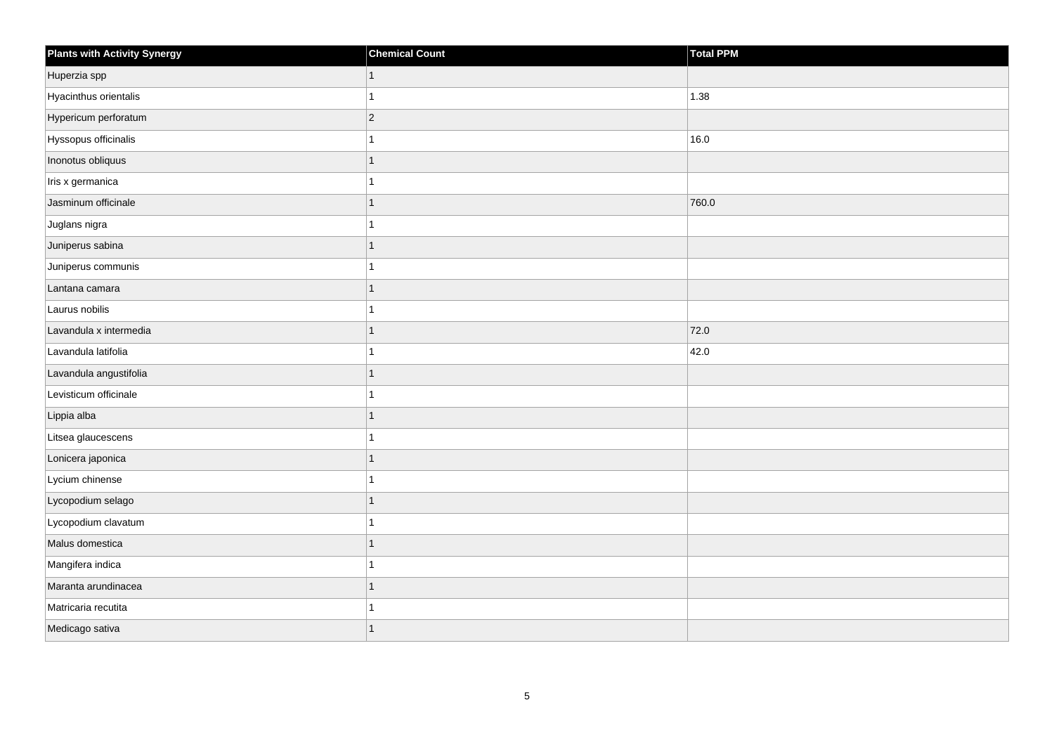| Plants with Activity Synergy | <b>Chemical Count</b> | Total PPM |
|------------------------------|-----------------------|-----------|
| Huperzia spp                 | $\mathbf{1}$          |           |
| Hyacinthus orientalis        | 1                     | 1.38      |
| Hypericum perforatum         | $ 2\rangle$           |           |
| Hyssopus officinalis         | 1                     | 16.0      |
| Inonotus obliquus            | 1                     |           |
| Iris x germanica             | 1                     |           |
| Jasminum officinale          | $\mathbf{1}$          | 760.0     |
| Juglans nigra                | 1                     |           |
| Juniperus sabina             | $\overline{1}$        |           |
| Juniperus communis           | 1                     |           |
| Lantana camara               | 1                     |           |
| Laurus nobilis               | $\mathbf{1}$          |           |
| Lavandula x intermedia       | $\overline{1}$        | 72.0      |
| Lavandula latifolia          | 1                     | 42.0      |
| Lavandula angustifolia       | $\overline{1}$        |           |
| Levisticum officinale        | $\mathbf{1}$          |           |
| Lippia alba                  | 1                     |           |
| Litsea glaucescens           | $\mathbf{1}$          |           |
| Lonicera japonica            | $\mathbf{1}$          |           |
| Lycium chinense              | 1                     |           |
| Lycopodium selago            | 1                     |           |
| Lycopodium clavatum          | $\overline{1}$        |           |
| Malus domestica              | 1                     |           |
| Mangifera indica             | 1                     |           |
| Maranta arundinacea          | $\mathbf{1}$          |           |
| Matricaria recutita          | 1                     |           |
| Medicago sativa              | 1                     |           |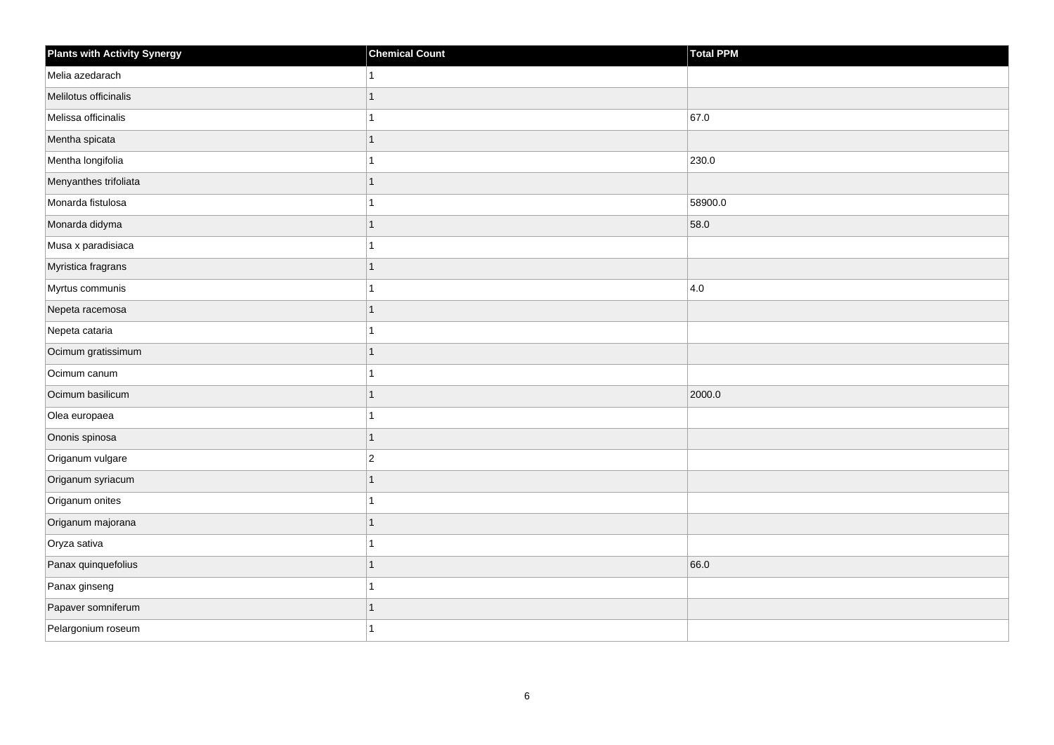| Plants with Activity Synergy | <b>Chemical Count</b> | <b>Total PPM</b> |
|------------------------------|-----------------------|------------------|
| Melia azedarach              | 1                     |                  |
| Melilotus officinalis        | 1                     |                  |
| Melissa officinalis          | 1                     | 67.0             |
| Mentha spicata               | $\mathbf{1}$          |                  |
| Mentha longifolia            | 1                     | 230.0            |
| Menyanthes trifoliata        | $\overline{1}$        |                  |
| Monarda fistulosa            | 1                     | 58900.0          |
| Monarda didyma               | 1                     | 58.0             |
| Musa x paradisiaca           | 1                     |                  |
| Myristica fragrans           | $\mathbf{1}$          |                  |
| Myrtus communis              | 1                     | $ 4.0\rangle$    |
| Nepeta racemosa              | $\overline{1}$        |                  |
| Nepeta cataria               | $\overline{1}$        |                  |
| Ocimum gratissimum           | $\overline{1}$        |                  |
| Ocimum canum                 | 1                     |                  |
| Ocimum basilicum             | $\overline{1}$        | 2000.0           |
| Olea europaea                | 1                     |                  |
| Ononis spinosa               | $\overline{1}$        |                  |
| Origanum vulgare             | $\boldsymbol{2}$      |                  |
| Origanum syriacum            | $\overline{1}$        |                  |
| Origanum onites              | 1                     |                  |
| Origanum majorana            | $\overline{1}$        |                  |
| Oryza sativa                 | 1                     |                  |
| Panax quinquefolius          | $\overline{1}$        | 66.0             |
| Panax ginseng                | 1                     |                  |
| Papaver somniferum           | 1                     |                  |
| Pelargonium roseum           | 1                     |                  |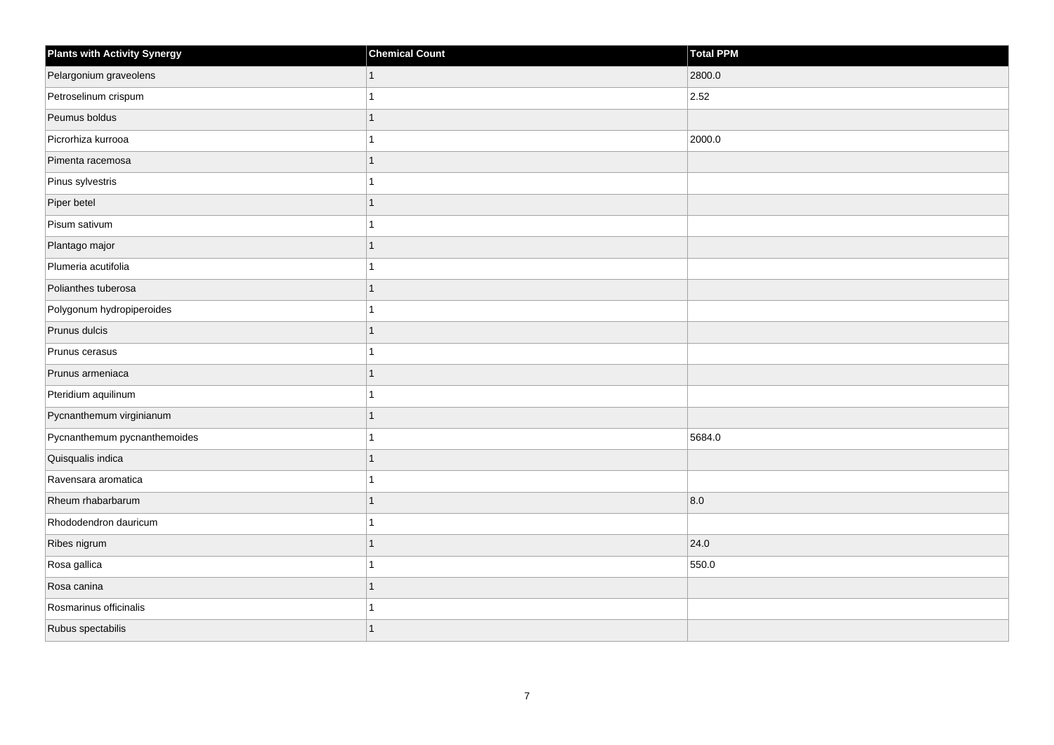| <b>Plants with Activity Synergy</b> | <b>Chemical Count</b> | Total PPM |
|-------------------------------------|-----------------------|-----------|
| Pelargonium graveolens              | 1                     | 2800.0    |
| Petroselinum crispum                |                       | 2.52      |
| Peumus boldus                       |                       |           |
| Picrorhiza kurrooa                  |                       | 2000.0    |
| Pimenta racemosa                    | 1                     |           |
| Pinus sylvestris                    |                       |           |
| Piper betel                         | 1                     |           |
| Pisum sativum                       |                       |           |
| Plantago major                      |                       |           |
| Plumeria acutifolia                 |                       |           |
| Polianthes tuberosa                 | 1                     |           |
| Polygonum hydropiperoides           |                       |           |
| Prunus dulcis                       | 1                     |           |
| Prunus cerasus                      |                       |           |
| Prunus armeniaca                    |                       |           |
| Pteridium aquilinum                 |                       |           |
| Pycnanthemum virginianum            | 1                     |           |
| Pycnanthemum pycnanthemoides        |                       | 5684.0    |
| Quisqualis indica                   | $\overline{1}$        |           |
| Ravensara aromatica                 |                       |           |
| Rheum rhabarbarum                   |                       | 8.0       |
| Rhododendron dauricum               | 4                     |           |
| Ribes nigrum                        | 1                     | 24.0      |
| Rosa gallica                        |                       | 550.0     |
| Rosa canina                         | 1                     |           |
| Rosmarinus officinalis              |                       |           |
| Rubus spectabilis                   |                       |           |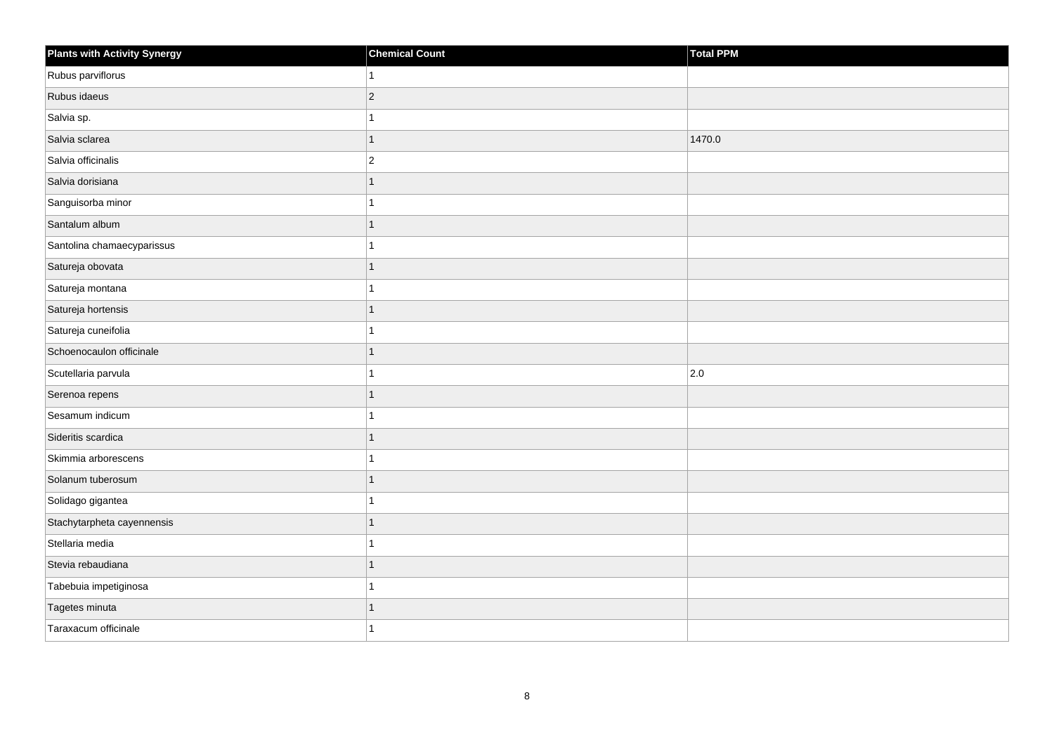| <b>Plants with Activity Synergy</b> | <b>Chemical Count</b> | Total PPM |
|-------------------------------------|-----------------------|-----------|
| Rubus parviflorus                   |                       |           |
| Rubus idaeus                        | $ 2\rangle$           |           |
| Salvia sp.                          |                       |           |
| Salvia sclarea                      | 1                     | 1470.0    |
| Salvia officinalis                  | $\overline{2}$        |           |
| Salvia dorisiana                    |                       |           |
| Sanguisorba minor                   |                       |           |
| Santalum album                      |                       |           |
| Santolina chamaecyparissus          |                       |           |
| Satureja obovata                    |                       |           |
| Satureja montana                    |                       |           |
| Satureja hortensis                  |                       |           |
| Satureja cuneifolia                 |                       |           |
| Schoenocaulon officinale            |                       |           |
| Scutellaria parvula                 |                       | 2.0       |
| Serenoa repens                      |                       |           |
| Sesamum indicum                     |                       |           |
| Sideritis scardica                  |                       |           |
| Skimmia arborescens                 |                       |           |
| Solanum tuberosum                   |                       |           |
| Solidago gigantea                   |                       |           |
| Stachytarpheta cayennensis          | 1                     |           |
| Stellaria media                     |                       |           |
| Stevia rebaudiana                   |                       |           |
| Tabebuia impetiginosa               |                       |           |
| Tagetes minuta                      |                       |           |
| Taraxacum officinale                |                       |           |